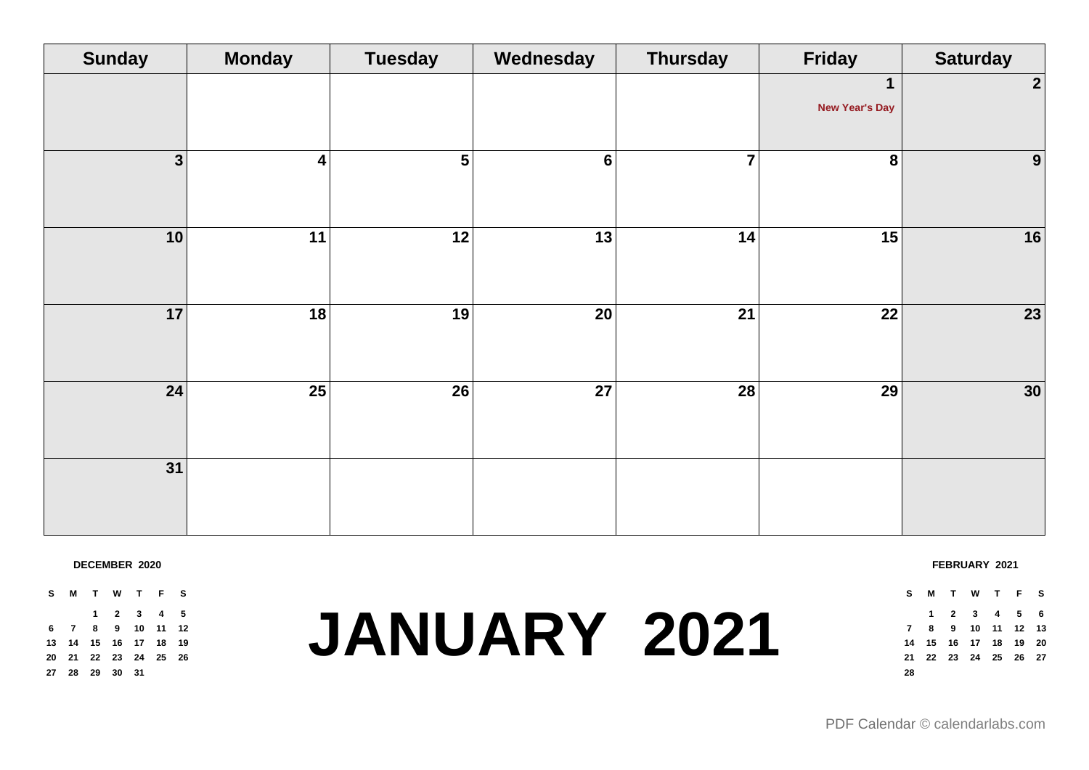| $\mathbf 1$<br><b>New Year's Day</b>                                               | $\overline{2}$ |
|------------------------------------------------------------------------------------|----------------|
|                                                                                    |                |
|                                                                                    |                |
|                                                                                    |                |
| $5\phantom{a}$<br>3 <br>$6 \mid$<br>$\overline{7}$<br>8<br>$\overline{\mathbf{4}}$ | 9              |
|                                                                                    |                |
|                                                                                    |                |
| $\overline{11}$<br>10<br>12<br> 13 <br> 14 <br>15                                  | 16             |
|                                                                                    |                |
|                                                                                    |                |
| 18<br>19<br>20 <br>21<br>22<br>17                                                  | 23             |
|                                                                                    |                |
|                                                                                    |                |
| 25<br>27<br>24<br>26<br>28<br>29                                                   | 30             |
|                                                                                    |                |
|                                                                                    |                |
| 31                                                                                 |                |
|                                                                                    |                |
|                                                                                    |                |

### **DECEMBER 2020**

**S M T W T F S 2 3 4 5 7 8 9 10 11 12 14 15 16 17 18 19 21 22 23 24 25 26 28 29 30 31**

## **JANUARY 2021**

**FEBRUARY 2021 S M T W T F S**

 **2 3 4 5 6 8 9 10 11 12 13 15 16 17 18 19 20 22 23 24 25 26 27**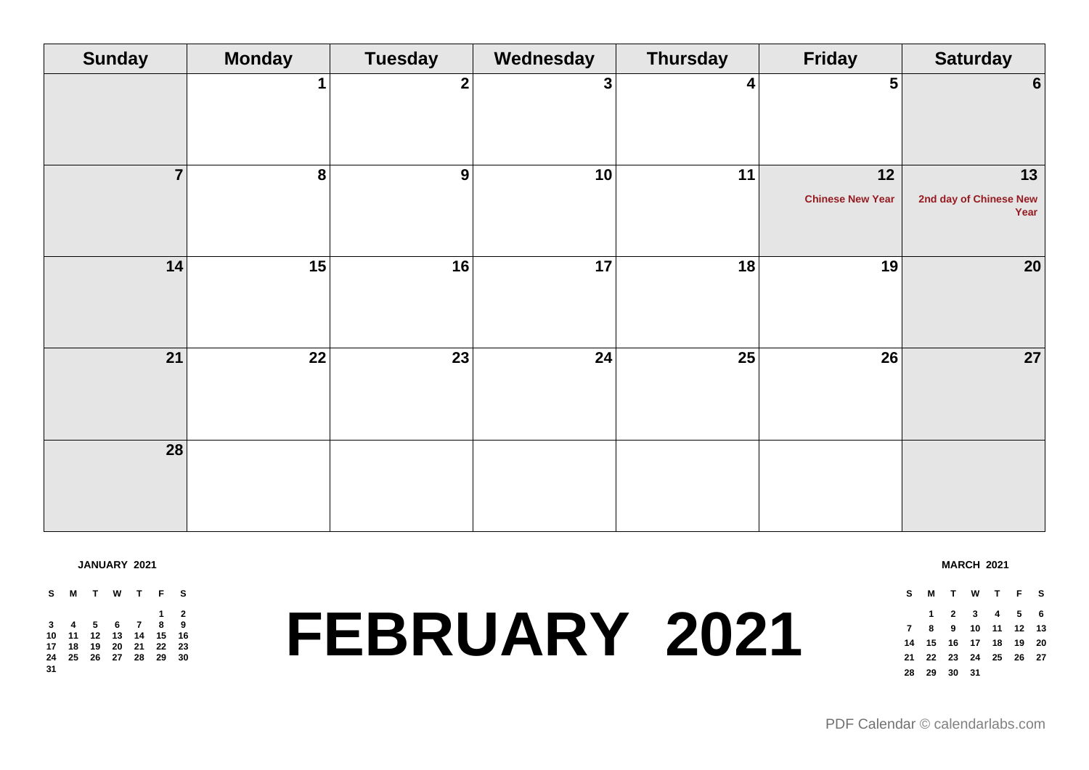| <b>Sunday</b>  | <b>Monday</b>    | <b>Tuesday</b>   | Wednesday    | <b>Thursday</b> | <b>Friday</b>                 | <b>Saturday</b>                      |
|----------------|------------------|------------------|--------------|-----------------|-------------------------------|--------------------------------------|
|                |                  | $\boldsymbol{2}$ | $\mathbf{3}$ | 4               | 5 <sup>1</sup>                | $6 \mid$                             |
| $\overline{7}$ | $\boldsymbol{8}$ | 9                | 10           | 11              | 12<br><b>Chinese New Year</b> | 13<br>2nd day of Chinese New<br>Year |
| 14             | 15               | 16               | 17           | 18              | 19                            | $20\,$                               |
| 21             | 22               | 23               | 24           | 25              | 26                            | 27                                   |
| 28             |                  |                  |              |                 |                               |                                      |

**JANUARY 2021**

**S M T W T F S 2 4 5 6 7 8 9 11 12 13 14 15 16 18 19 20 21 22 23 25 26 27 28 29 30** 

## **FEBRUARY 2021**

**MARCH 2021**

**S M T W T F S**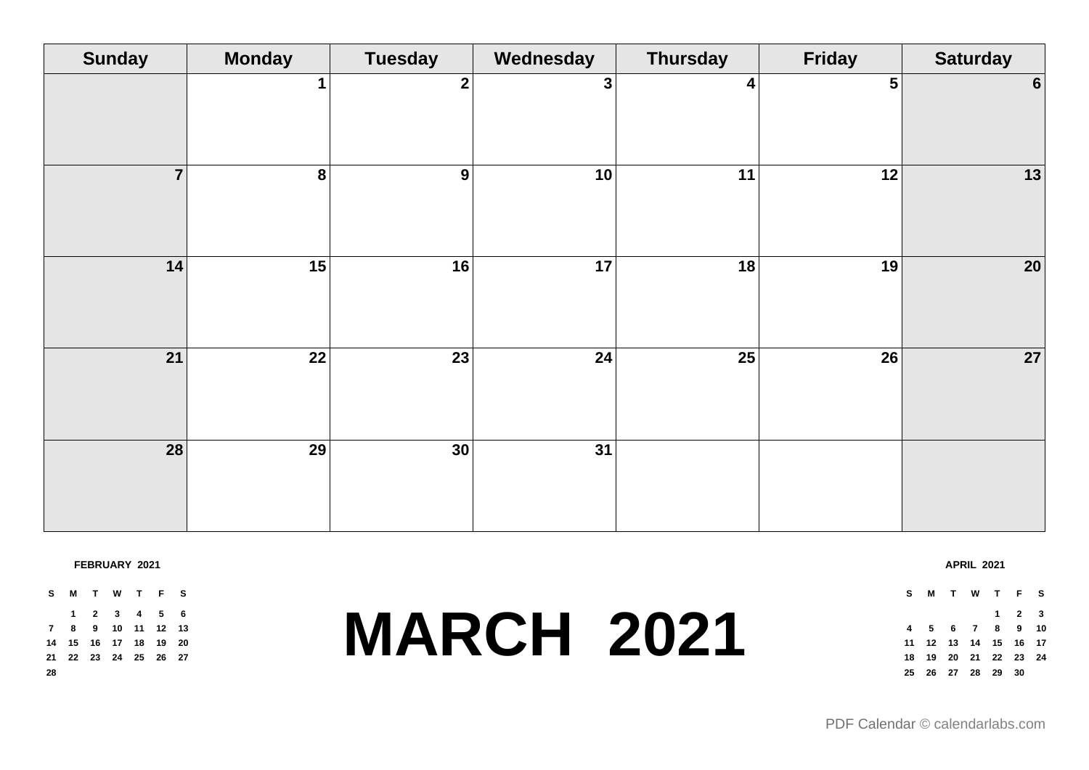| <b>Sunday</b>   | <b>Monday</b>   | <b>Tuesday</b>  | Wednesday      | <b>Thursday</b> | <b>Friday</b> | <b>Saturday</b> |
|-----------------|-----------------|-----------------|----------------|-----------------|---------------|-----------------|
|                 | 1               | $\overline{2}$  | 3 <sup>1</sup> | 4               | $5\vert$      | $6 \mid$        |
| $\overline{7}$  | $\bf{8}$        | 9               | 10             | 11              | 12            | 13              |
| 14              | $\overline{15}$ | 16              | 17             | 18              | 19            | 20              |
| 21              | $\overline{22}$ | $\overline{23}$ | 24             | $\overline{25}$ | 26            | 27              |
| $\overline{28}$ | $\overline{29}$ | $\overline{30}$ | 31             |                 |               |                 |

#### **FEBRUARY 2021**

|    | S M T W T F S              |  |  |  |
|----|----------------------------|--|--|--|
|    | 1 2 3 4 5 6                |  |  |  |
|    | 7 8 9 10 11 12 13          |  |  |  |
|    | 14  15  16  17  18  19  20 |  |  |  |
|    | 21  22  23  24  25  26  27 |  |  |  |
| 28 |                            |  |  |  |

### **MARCH 2021**

|  | S M T W T F S |                     |  |
|--|---------------|---------------------|--|
|  |               | $1 \quad 2 \quad 3$ |  |

**APRIL 2021**

### **5 6 7 8 9 10 12 13 14 15 16 17 19 20 21 22 23 24 26 27 28 29 30**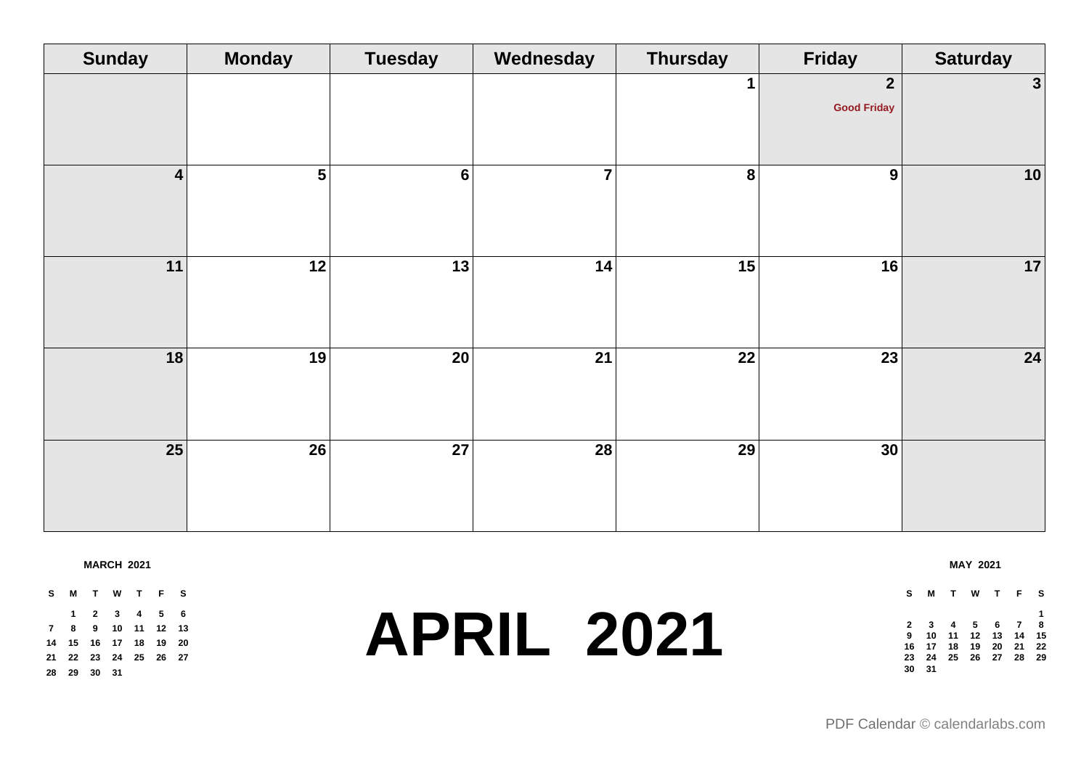| <b>Sunday</b>   | <b>Monday</b>  | <b>Tuesday</b>  | Wednesday      | <b>Thursday</b> | Friday                             | <b>Saturday</b> |
|-----------------|----------------|-----------------|----------------|-----------------|------------------------------------|-----------------|
|                 |                |                 |                |                 | $\mathbf{2}$<br><b>Good Friday</b> | $\mathbf{3}$    |
| $\vert$ 4       | 5 <sup>1</sup> | $6\phantom{1}6$ | $\overline{7}$ | 8               | 9                                  | $10$            |
| 11              | 12             | 13              | 14             | 15              | 16                                 | 17              |
| 18              | 19             | $\overline{20}$ | 21             | 22              | 23                                 | 24              |
| $\overline{25}$ | 26             | $\overline{27}$ | 28             | 29              | 30                                 |                 |

**MARCH 2021**

**S M T W T F S 2 3 4 5 6 8 9 10 11 12 13 15 16 17 18 19 20 22 23 24 25 26 27 29 30 31**

### **APRIL 2021**

#### **S M T W T F S 3 4 5 6 7 8 10 11 12 13 14 15 17 18 19 20 21 22 24 25 26 27 28 29 31**

**MAY 2021**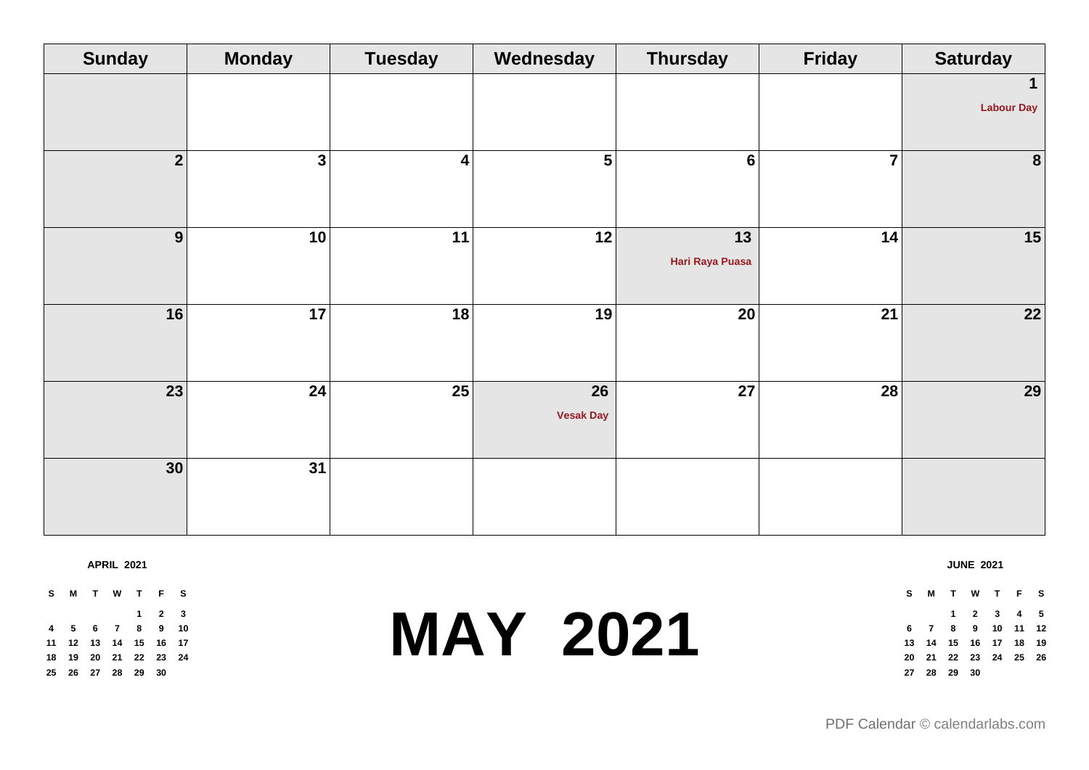| <b>Sunday</b>  | <b>Monday</b> | <b>Tuesday</b>  | Wednesday                           | <b>Thursday</b>       | <b>Friday</b>  | <b>Saturday</b>   |
|----------------|---------------|-----------------|-------------------------------------|-----------------------|----------------|-------------------|
|                |               |                 |                                     |                       |                | 1                 |
|                |               |                 |                                     |                       |                | <b>Labour Day</b> |
| $\mathbf{2}$   | $\mathbf{3}$  | $\vert$ 4       | 5 <sup>1</sup>                      | $6\phantom{1}$        | $\overline{7}$ | 8                 |
| 9 <sup>1</sup> | 10            | 11              | 12                                  | 13<br>Hari Raya Puasa | 14             | 15                |
| 16             | 17            | 18              | 19                                  | $\overline{20}$       | 21             | 22                |
| 23             | 24            | $\overline{25}$ | $\overline{26}$<br><b>Vesak Day</b> | $\overline{27}$       | 28             | 29                |
| 30             | 31            |                 |                                     |                       |                |                   |

**APRIL 2021**

**S M T W T F S 2 3 5 6 7 8 9 10 12 13 14 15 16 17 19 20 21 22 23 24 26 27 28 29 30**

## **MAY 2021**

### **S M T W T F S 2 3 4 5 7 8 9 10 11 12 14 15 16 17 18 19 21 22 23 24 25 26 28 29 30**

**JUNE 2021**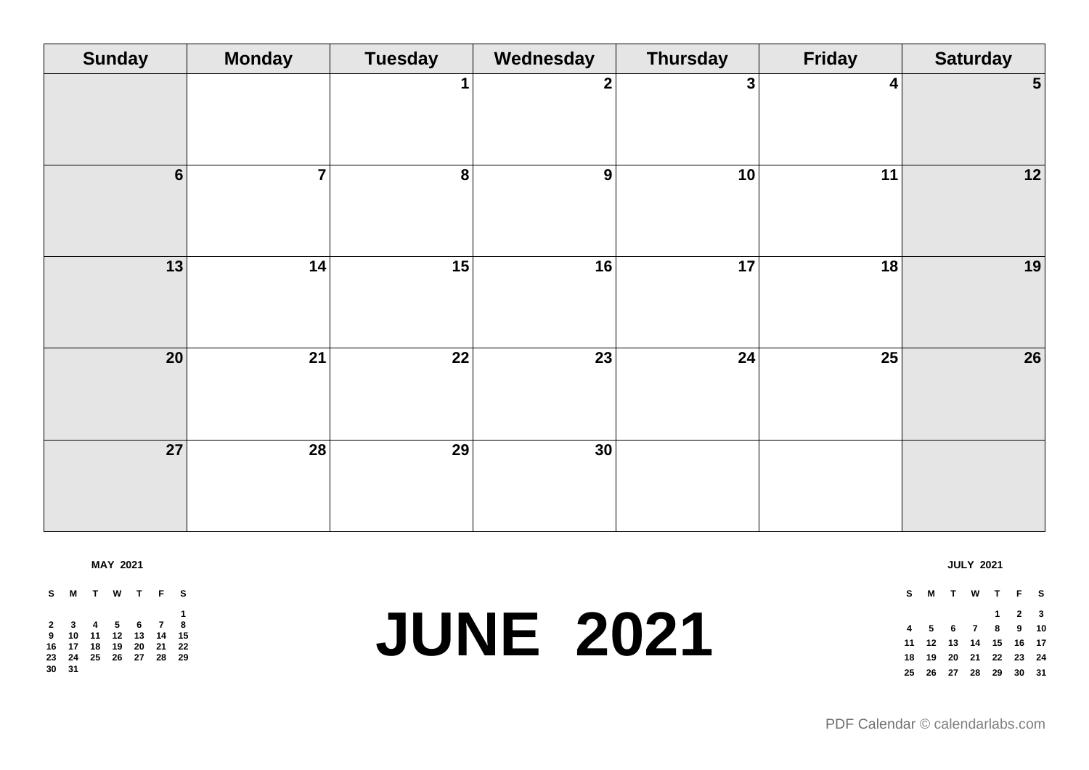| <b>Sunday</b> | <b>Monday</b>   | <b>Tuesday</b>   | Wednesday    | <b>Thursday</b> | <b>Friday</b>   | <b>Saturday</b> |
|---------------|-----------------|------------------|--------------|-----------------|-----------------|-----------------|
|               |                 | $\mathbf 1$      | $\mathbf{2}$ | $\mathbf{3}$    | $\vert$         | 5 <sup>1</sup>  |
| 6             | $\overline{7}$  | $\boldsymbol{8}$ | 9            | 10              | 11              | 12              |
| 13            | 14              | $\overline{15}$  | 16           | $\overline{17}$ | 18              | 19              |
| 20            | $\overline{21}$ | $\overline{22}$  | 23           | 24              | $\overline{25}$ | 26              |
| 27            | $\overline{28}$ | $\overline{29}$  | 30           |                 |                 |                 |

**MAY 2021**

**S M T W T F S 3 4 5 6 7 8 10 11 12 13 14 15 17 18 19 20 21 22 24 25 26 27 28 29 31**

### **JUNE 2021**

**JULY 2021**

**S M T W T F S 2 3 5 6 7 8 9 10 12 13 14 15 16 17 19 20 21 22 23 24 26 27 28 29 30 31**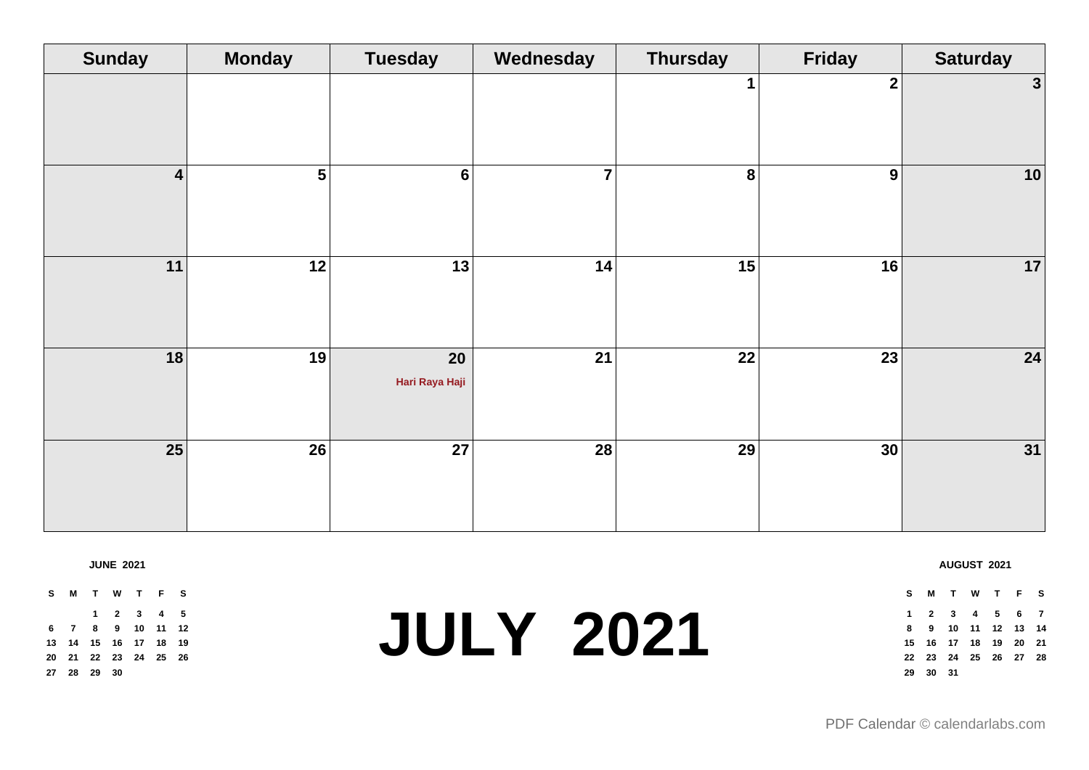| <b>Sunday</b>   | <b>Monday</b>  | <b>Tuesday</b>       | Wednesday      | <b>Thursday</b> | Friday           | <b>Saturday</b> |
|-----------------|----------------|----------------------|----------------|-----------------|------------------|-----------------|
|                 |                |                      |                |                 | $\boldsymbol{2}$ | $\mathbf{3}$    |
| $\vert$ 4       | 5 <sup>1</sup> | $6\phantom{1}6$      | $\overline{7}$ | 8               | 9                | $10$            |
| 11              | 12             | 13                   | 14             | 15              | 16               | 17              |
| 18              | 19             | 20<br>Hari Raya Haji | 21             | 22              | 23               | 24              |
| $\overline{25}$ | 26             | $\overline{27}$      | 28             | 29              | 30               | 31              |

**JUNE 2021**

**S M T W T F S 2 3 4 5 7 8 9 10 11 12 14 15 16 17 18 19 21 22 23 24 25 26 28 29 30**

### **JULY 2021**

| s   |       |  | MTWTFS                     |  |
|-----|-------|--|----------------------------|--|
|     |       |  | 1 2 3 4 5 6 7              |  |
| 8   |       |  | 9 10 11 12 13 14           |  |
|     |       |  | 15  16  17  18  19  20  21 |  |
|     |       |  | 22 23 24 25 26 27 28       |  |
| 29. | 30 31 |  |                            |  |

**AUGUST 2021**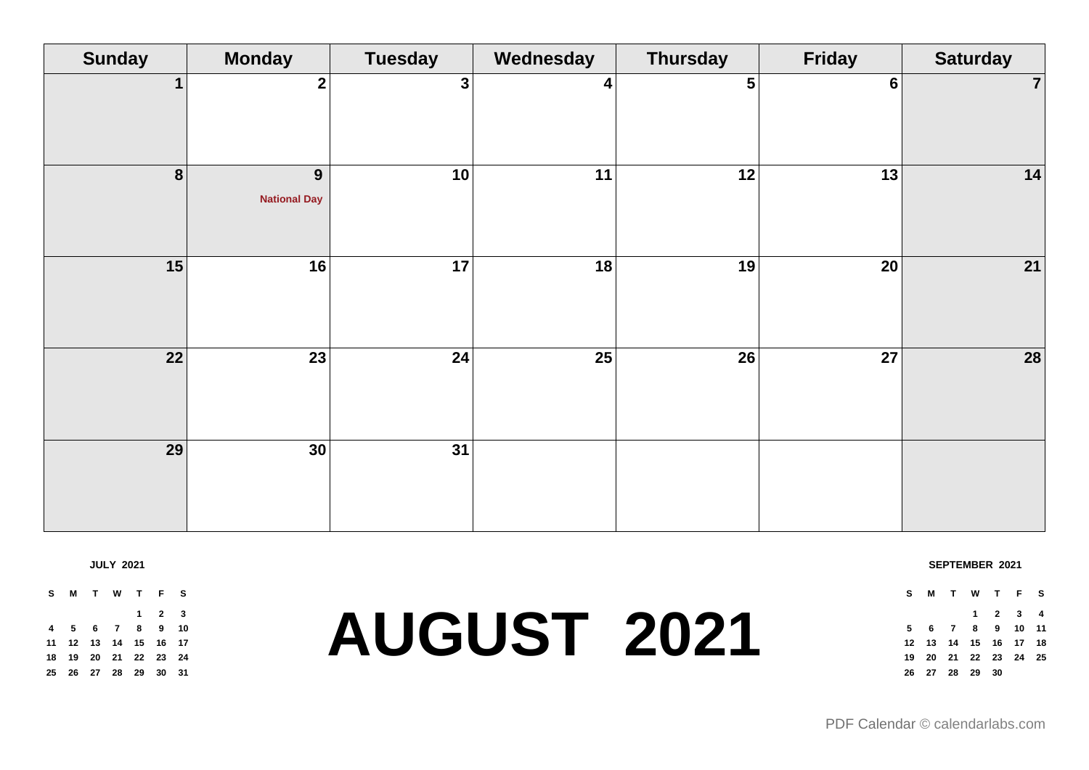| <b>Sunday</b>           | <b>Monday</b>            | <b>Tuesday</b>  | Wednesday | <b>Thursday</b> | <b>Friday</b> | <b>Saturday</b> |
|-------------------------|--------------------------|-----------------|-----------|-----------------|---------------|-----------------|
| $\mathbf 1$             | 2 <sup>1</sup>           | 3 <sup>1</sup>  | 4         | 5               | $6 \mid$      | $\overline{7}$  |
| $\overline{\mathbf{8}}$ | 9<br><b>National Day</b> | 10              | 11        | 12              | 13            | 14              |
| 15                      | 16                       | $\overline{17}$ | 18        | 19              | 20            | 21              |
| 22                      | 23                       | 24              | 25        | 26              | 27            | 28              |
| 29                      | 30                       | $\overline{31}$ |           |                 |               |                 |

**JULY 2021**

**S M T W T F S 2 3 5 6 7 8 9 10 12 13 14 15 16 17 19 20 21 22 23 24 26 27 28 29 30 31**

## **AUGUST 2021**

**SEPTEMBER 2021**

**S M T W T F S 2 3 4 6 7 8 9 10 11 13 14 15 16 17 18 20 21 22 23 24 25 27 28 29 30**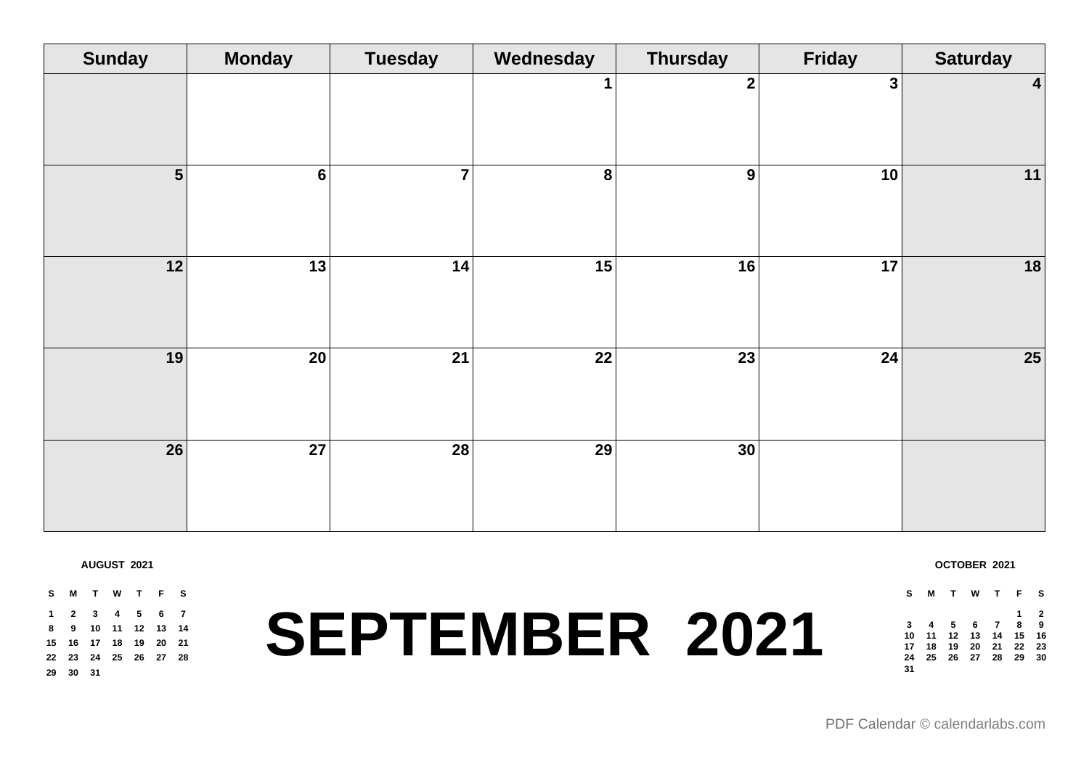| <b>Sunday</b>   | <b>Monday</b>   | <b>Tuesday</b> | Wednesday   | <b>Thursday</b>  | <b>Friday</b>  | <b>Saturday</b>  |
|-----------------|-----------------|----------------|-------------|------------------|----------------|------------------|
|                 |                 |                | $\mathbf 1$ | $\mathbf{2}$     | 3 <sup>1</sup> | $\boldsymbol{4}$ |
| $5\overline{)}$ | $6 \mid$        | $\overline{7}$ | $\bf{8}$    | $\boldsymbol{9}$ | 10             | 11               |
| 12              | 13              | 14             | 15          | 16               | 17             | 18               |
| 19              | $\overline{20}$ | 21             | 22          | $\overline{23}$  | 24             | $25\overline{)}$ |
| 26              | 27              | 28             | 29          | 30               |                |                  |

**AUGUST 2021**

**S M T W T F S 2 3 4 5 6 7 9 10 11 12 13 14 16 17 18 19 20 21 23 24 25 26 27 28 30 31**

# **SEPTEMBER 2021**

**OCTOBER 2021 S M T W T F S**

 **4 5 6 7 8 9 11 12 13 14 15 16 18 19 20 21 22 23 25 26 27 28 29 30**

**2**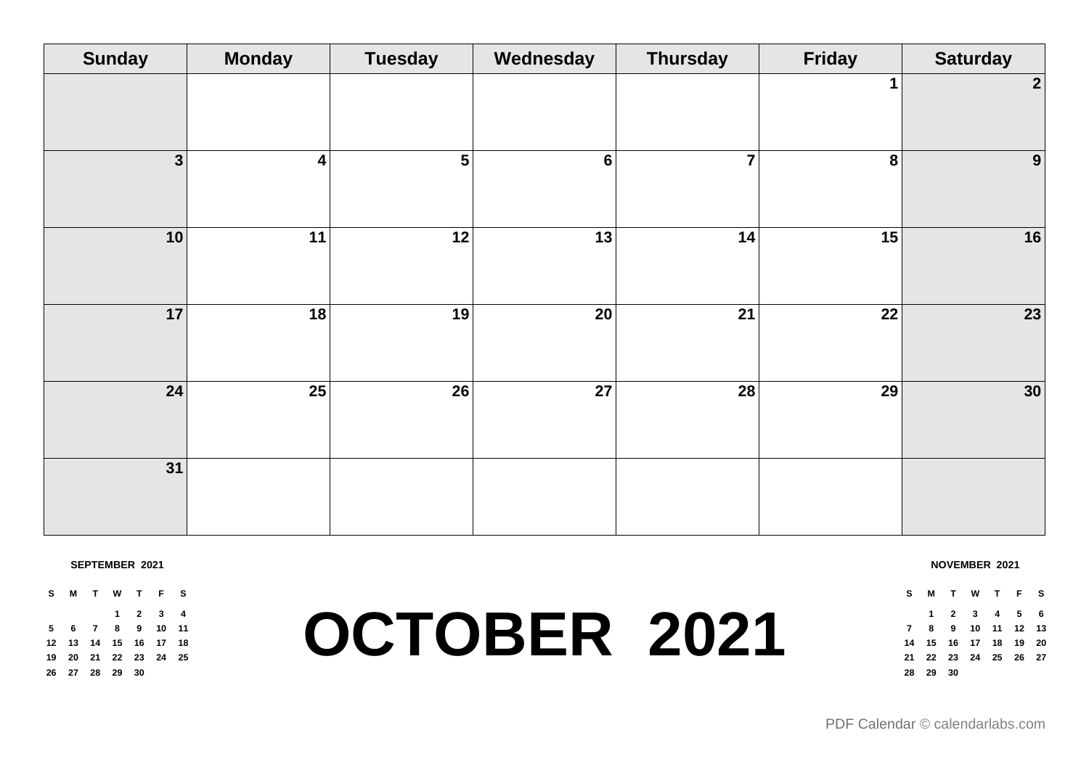| <b>Sunday</b>           | <b>Monday</b> | <b>Tuesday</b> | Wednesday       | <b>Thursday</b> | Friday          | <b>Saturday</b>  |
|-------------------------|---------------|----------------|-----------------|-----------------|-----------------|------------------|
|                         |               |                |                 |                 | 1               | $\boldsymbol{2}$ |
| $\overline{\mathbf{3}}$ | 4             | 5 <sup>5</sup> | $6\phantom{a}$  | $\overline{7}$  | 8               | $\boldsymbol{9}$ |
| 10                      | 11            | 12             | 13              | 14              | 15              | 16               |
| 17                      | 18            | 19             | $\overline{20}$ | $\overline{21}$ | $\overline{22}$ | 23               |
| 24                      | 25            | 26             | 27              | 28              | 29              | $30\,$           |
| 31                      |               |                |                 |                 |                 |                  |

#### **SEPTEMBER 2021**

**S M T W T F S 2 3 4 6 7 8 9 10 11 13 14 15 16 17 18 20 21 22 23 24 25 27 28 29 30**

### **OCTOBER 2021**

**NOVEMBER 2021**

**S M T W T F S 2 3 4 5 6 8 9 10 11 12 13 15 16 17 18 19 20 22 23 24 25 26 27 29 30**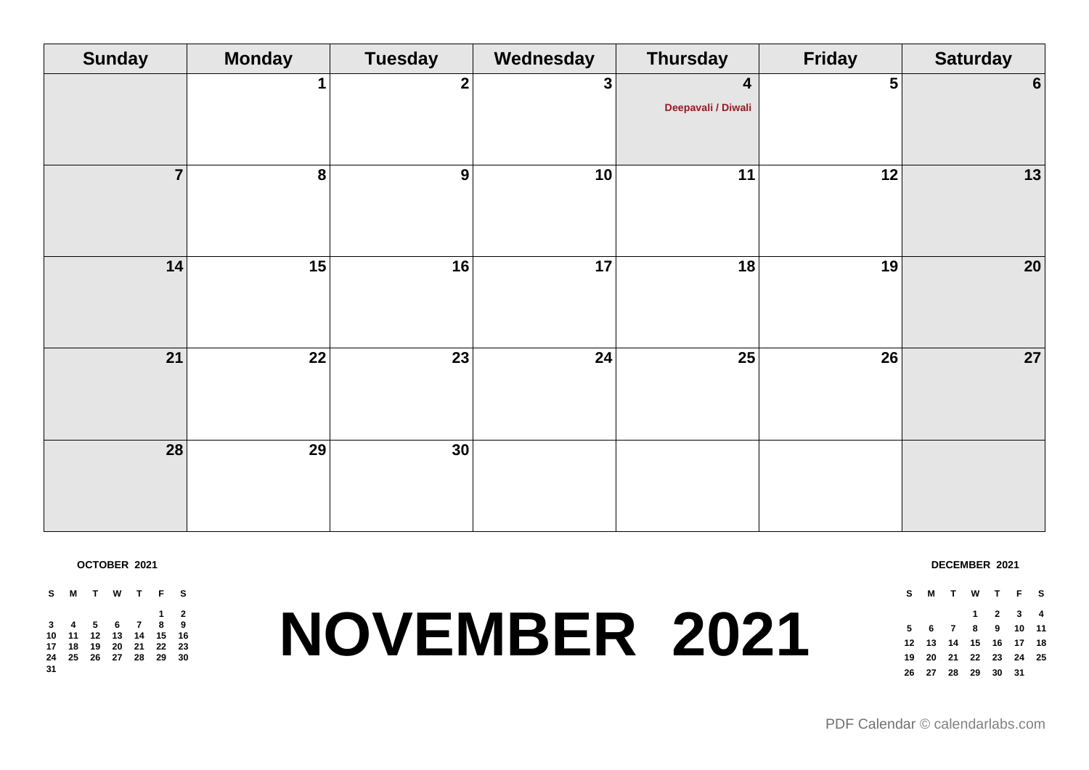| <b>Sunday</b>  | <b>Monday</b>   | <b>Tuesday</b> | Wednesday      | <b>Thursday</b>                               | <b>Friday</b>  | <b>Saturday</b> |
|----------------|-----------------|----------------|----------------|-----------------------------------------------|----------------|-----------------|
|                |                 | $\mathbf{2}$   | 3 <sup>1</sup> | $\overline{\mathbf{4}}$<br>Deepavali / Diwali | 5 <sup>1</sup> | $6 \mid$        |
| $\overline{7}$ | 8               | 9              | 10             | 11                                            | 12             | 13              |
| 14             | 15              | 16             | 17             | 18                                            | 19             | 20              |
| 21             | $\overline{22}$ | 23             | 24             | 25                                            | 26             | 27              |
| 28             | 29              | 30             |                |                                               |                |                 |

**OCTOBER 2021**

**S M T W T F S 2 4 5 6 7 8 9 11 12 13 14 15 16 18 19 20 21 22 23 25 26 27 28 29 30** 

## **NOVEMBER 2021**

#### **DECEMBER 2021**

**S M T W T F S 2 3 4 6 7 8 9 10 11 13 14 15 16 17 18 20 21 22 23 24 25 27 28 29 30 31**